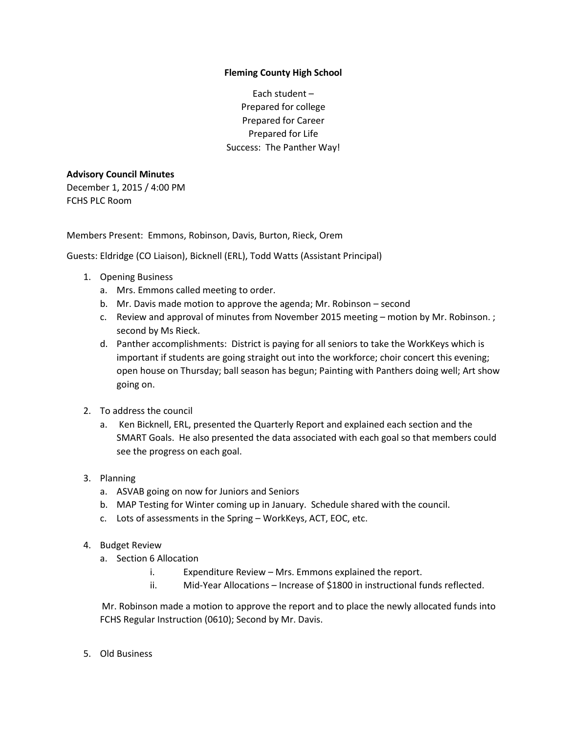## **Fleming County High School**

Each student – Prepared for college Prepared for Career Prepared for Life Success: The Panther Way!

## **Advisory Council Minutes**

December 1, 2015 / 4:00 PM FCHS PLC Room

Members Present: Emmons, Robinson, Davis, Burton, Rieck, Orem

Guests: Eldridge (CO Liaison), Bicknell (ERL), Todd Watts (Assistant Principal)

- 1. Opening Business
	- a. Mrs. Emmons called meeting to order.
	- b. Mr. Davis made motion to approve the agenda; Mr. Robinson second
	- c. Review and approval of minutes from November 2015 meeting motion by Mr. Robinson. ; second by Ms Rieck.
	- d. Panther accomplishments: District is paying for all seniors to take the WorkKeys which is important if students are going straight out into the workforce; choir concert this evening; open house on Thursday; ball season has begun; Painting with Panthers doing well; Art show going on.
- 2. To address the council
	- a. Ken Bicknell, ERL, presented the Quarterly Report and explained each section and the SMART Goals. He also presented the data associated with each goal so that members could see the progress on each goal.
- 3. Planning
	- a. ASVAB going on now for Juniors and Seniors
	- b. MAP Testing for Winter coming up in January. Schedule shared with the council.
	- c. Lots of assessments in the Spring WorkKeys, ACT, EOC, etc.
- 4. Budget Review
	- a. Section 6 Allocation
		- i. Expenditure Review Mrs. Emmons explained the report.
		- ii. Mid-Year Allocations Increase of \$1800 in instructional funds reflected.

Mr. Robinson made a motion to approve the report and to place the newly allocated funds into FCHS Regular Instruction (0610); Second by Mr. Davis.

5. Old Business